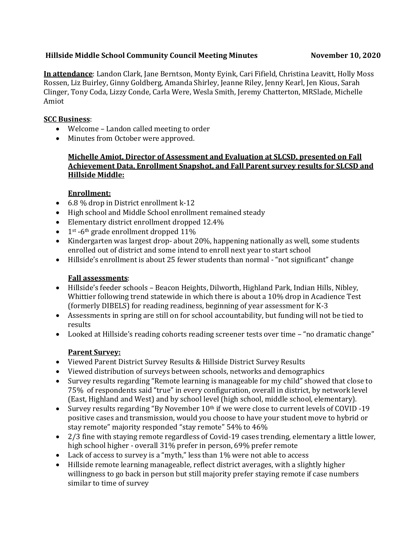# **Hillside Middle School Community Council Meeting Minutes November 10, 2020**

**In attendance**: Landon Clark, Jane Berntson, Monty Eyink, Cari Fifield, Christina Leavitt, Holly Moss Rossen, Liz Buirley, Ginny Goldberg, Amanda Shirley, Jeanne Riley, Jenny Kearl, Jen Kious, Sarah Clinger, Tony Coda, Lizzy Conde, Carla Were, Wesla Smith, Jeremy Chatterton, MRSlade, Michelle Amiot

# **SCC Business**:

- Welcome Landon called meeting to order
- Minutes from October were approved.

**Michelle Amiot, Director of Assessment and Evaluation at SLCSD, presented on Fall Achievement Data, Enrollment Snapshot, and Fall Parent survey results for SLCSD and Hillside Middle:**

# **Enrollment:**

- 6.8 % drop in District enrollment k-12
- High school and Middle School enrollment remained steady
- Elementary district enrollment dropped 12.4%
- $\bullet$  1<sup>st</sup> -6<sup>th</sup> grade enrollment dropped 11%
- Kindergarten was largest drop- about 20%, happening nationally as well, some students enrolled out of district and some intend to enroll next year to start school
- Hillside's enrollment is about 25 fewer students than normal "not significant" change

## **Fall assessments**:

- Hillside's feeder schools Beacon Heights, Dilworth, Highland Park, Indian Hills, Nibley, Whittier following trend statewide in which there is about a 10% drop in Acadience Test (formerly DIBELS) for reading readiness, beginning of year assessment for K-3
- Assessments in spring are still on for school accountability, but funding will not be tied to results
- Looked at Hillside's reading cohorts reading screener tests over time "no dramatic change"

# **Parent Survey:**

- Viewed Parent District Survey Results & Hillside District Survey Results
- Viewed distribution of surveys between schools, networks and demographics
- Survey results regarding "Remote learning is manageable for my child" showed that close to 75% of respondents said "true" in every configuration, overall in district, by network level (East, Highland and West) and by school level (high school, middle school, elementary).
- Survey results regarding "By November 10<sup>th</sup> if we were close to current levels of COVID -19 positive cases and transmission, would you choose to have your student move to hybrid or stay remote" majority responded "stay remote" 54% to 46%
- 2/3 fine with staying remote regardless of Covid-19 cases trending, elementary a little lower, high school higher - overall 31% prefer in person, 69% prefer remote
- Lack of access to survey is a "myth," less than 1% were not able to access
- Hillside remote learning manageable, reflect district averages, with a slightly higher willingness to go back in person but still majority prefer staying remote if case numbers similar to time of survey